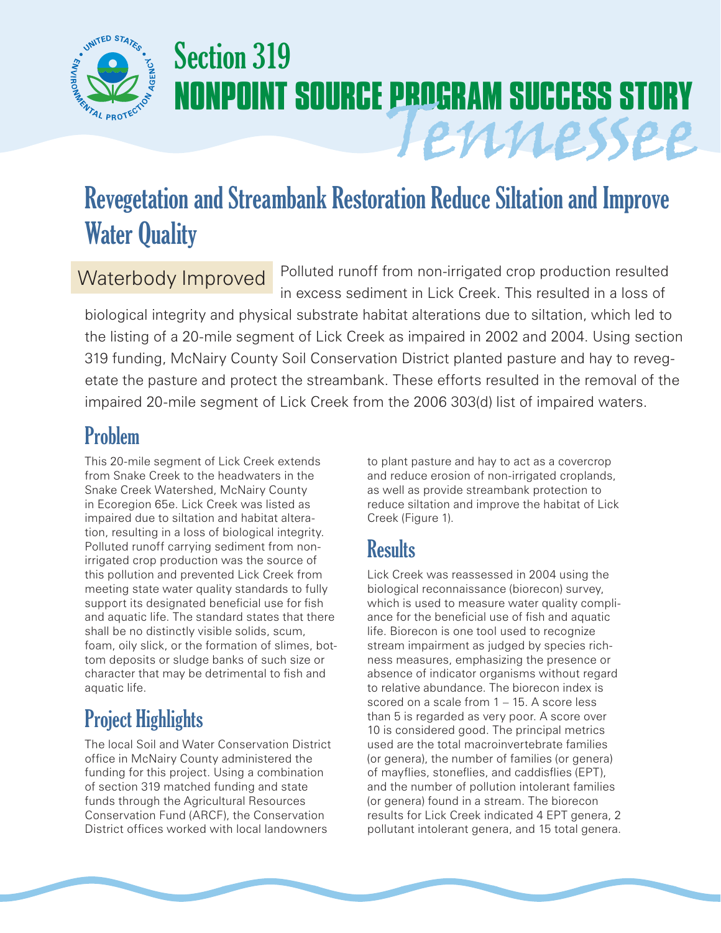

# Section 319 **NONPOINT SOURCE PROGRAM SUCCESS STORY** Tennessee

## Revegetation and Streambank Restoration Reduce Siltation and Improve Water Quality

### Waterbody Improved

Polluted runoff from non-irrigated crop production resulted in excess sediment in Lick Creek. This resulted in a loss of

biological integrity and physical substrate habitat alterations due to siltation, which led to the listing of a 20-mile segment of Lick Creek as impaired in 2002 and 2004. Using section 319 funding, McNairy County Soil Conservation District planted pasture and hay to revegetate the pasture and protect the streambank. These efforts resulted in the removal of the impaired 20-mile segment of Lick Creek from the 2006 303(d) list of impaired waters.

### Problem

This 20-mile segment of Lick Creek extends from Snake Creek to the headwaters in the Snake Creek Watershed, McNairy County in Ecoregion 65e. Lick Creek was listed as impaired due to siltation and habitat alteration, resulting in a loss of biological integrity. Polluted runoff carrying sediment from nonirrigated crop production was the source of this pollution and prevented Lick Creek from meeting state water quality standards to fully support its designated beneficial use for fish and aquatic life. The standard states that there shall be no distinctly visible solids, scum, foam, oily slick, or the formation of slimes, bottom deposits or sludge banks of such size or character that may be detrimental to fish and aquatic life.

### Project Highlights

The local Soil and Water Conservation District office in McNairy County administered the funding for this project. Using a combination of section 319 matched funding and state funds through the Agricultural Resources Conservation Fund (ARCF), the Conservation District offices worked with local landowners

to plant pasture and hay to act as a covercrop and reduce erosion of non-irrigated croplands, as well as provide streambank protection to reduce siltation and improve the habitat of Lick Creek (Figure 1).

### **Results**

Lick Creek was reassessed in 2004 using the biological reconnaissance (biorecon) survey, which is used to measure water quality compliance for the beneficial use of fish and aquatic life. Biorecon is one tool used to recognize stream impairment as judged by species richness measures, emphasizing the presence or absence of indicator organisms without regard to relative abundance. The biorecon index is scored on a scale from 1 – 15. A score less than 5 is regarded as very poor. A score over 10 is considered good. The principal metrics used are the total macroinvertebrate families (or genera), the number of families (or genera) of mayflies, stoneflies, and caddisflies (EPT), and the number of pollution intolerant families (or genera) found in a stream. The biorecon results for Lick Creek indicated 4 EPT genera, 2 pollutant intolerant genera, and 15 total genera.